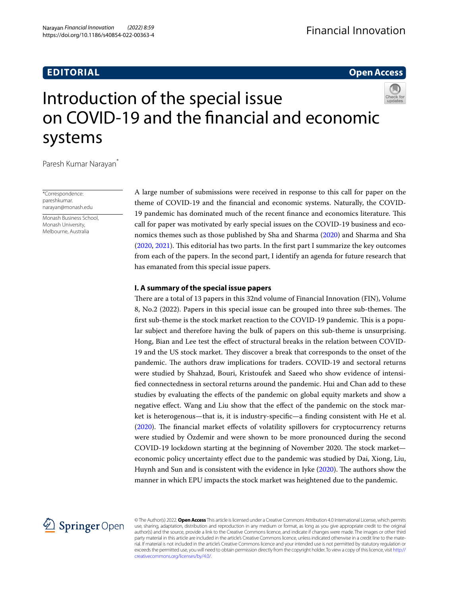# **EDITORIAL**

## **Open Access**

# Introduction of the special issue on COVID‑19 and the fnancial and economic systems

Paresh Kumar Narayan\*

\*Correspondence: pareshkumar. narayan@monash.edu

Monash Business School, Monash University, Melbourne, Australia

A large number of submissions were received in response to this call for paper on the theme of COVID-19 and the fnancial and economic systems. Naturally, the COVID-19 pandemic has dominated much of the recent fnance and economics literature. Tis call for paper was motivated by early special issues on the COVID-19 business and economics themes such as those published by Sha and Sharma [\(2020](#page-2-0)) and Sharma and Sha  $(2020, 2021)$  $(2020, 2021)$  $(2020, 2021)$  $(2020, 2021)$ . This editorial has two parts. In the first part I summarize the key outcomes from each of the papers. In the second part, I identify an agenda for future research that has emanated from this special issue papers.

## **I. A summary of the special issue papers**

There are a total of 13 papers in this 32nd volume of Financial Innovation (FIN), Volume 8, No.2 (2022). Papers in this special issue can be grouped into three sub-themes. The first sub-theme is the stock market reaction to the COVID-19 pandemic. This is a popular subject and therefore having the bulk of papers on this sub-theme is unsurprising. Hong, Bian and Lee test the efect of structural breaks in the relation between COVID-19 and the US stock market. They discover a break that corresponds to the onset of the pandemic. The authors draw implications for traders. COVID-19 and sectoral returns were studied by Shahzad, Bouri, Kristoufek and Saeed who show evidence of intensifed connectedness in sectoral returns around the pandemic. Hui and Chan add to these studies by evaluating the efects of the pandemic on global equity markets and show a negative efect. Wang and Liu show that the efect of the pandemic on the stock market is heterogenous—that is, it is industry-specifc—a fnding consistent with He et al. ([2020](#page-2-3)). The financial market effects of volatility spillovers for cryptocurrency returns were studied by Özdemir and were shown to be more pronounced during the second COVID-19 lockdown starting at the beginning of November 2020. The stock market economic policy uncertainty efect due to the pandemic was studied by Dai, Xiong, Liu, Huynh and Sun and is consistent with the evidence in Iyke [\(2020\)](#page-2-4). The authors show the manner in which EPU impacts the stock market was heightened due to the pandemic.



© The Author(s) 2022. **Open Access** This article is licensed under a Creative Commons Attribution 4.0 International License, which permits use, sharing, adaptation, distribution and reproduction in any medium or format, as long as you give appropriate credit to the original author(s) and the source, provide a link to the Creative Commons licence, and indicate if changes were made. The images or other third party material in this article are included in the article's Creative Commons licence, unless indicated otherwise in a credit line to the material. If material is not included in the article's Creative Commons licence and your intended use is not permitted by statutory regulation or exceeds the permitted use, you will need to obtain permission directly from the copyright holder. To view a copy of this licence, visit [http://](http://creativecommons.org/licenses/by/4.0/) [creativecommons.org/licenses/by/4.0/.](http://creativecommons.org/licenses/by/4.0/)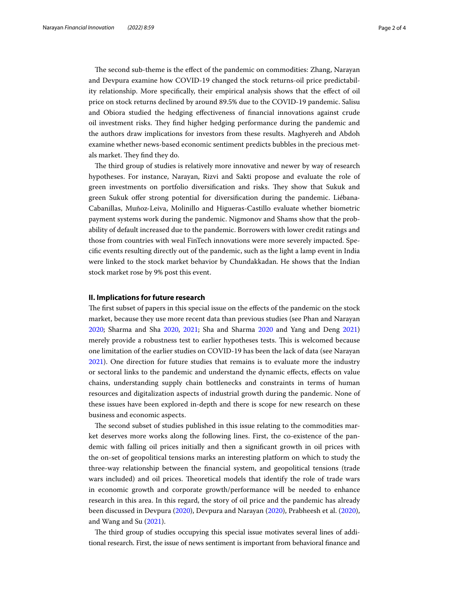The second sub-theme is the effect of the pandemic on commodities: Zhang, Narayan and Devpura examine how COVID-19 changed the stock returns-oil price predictability relationship. More specifcally, their empirical analysis shows that the efect of oil price on stock returns declined by around 89.5% due to the COVID-19 pandemic. Salisu and Obiora studied the hedging efectiveness of fnancial innovations against crude oil investment risks. Tey fnd higher hedging performance during the pandemic and the authors draw implications for investors from these results. Maghyereh and Abdoh examine whether news-based economic sentiment predicts bubbles in the precious metals market. They find they do.

The third group of studies is relatively more innovative and newer by way of research hypotheses. For instance, Narayan, Rizvi and Sakti propose and evaluate the role of green investments on portfolio diversification and risks. They show that Sukuk and green Sukuk offer strong potential for diversification during the pandemic. Liébana-Cabanillas, Muñoz‐Leiva, Molinillo and Higueras-Castillo evaluate whether biometric payment systems work during the pandemic. Nigmonov and Shams show that the probability of default increased due to the pandemic. Borrowers with lower credit ratings and those from countries with weal FinTech innovations were more severely impacted. Specifc events resulting directly out of the pandemic, such as the light a lamp event in India were linked to the stock market behavior by Chundakkadan. He shows that the Indian stock market rose by 9% post this event.

## **II. Implications for future research**

The first subset of papers in this special issue on the effects of the pandemic on the stock market, because they use more recent data than previous studies (see Phan and Narayan [2020](#page-2-5); Sharma and Sha [2020,](#page-2-1) [2021;](#page-2-2) Sha and Sharma [2020](#page-2-0) and Yang and Deng [2021](#page-3-0)) merely provide a robustness test to earlier hypotheses tests. Tis is welcomed because one limitation of the earlier studies on COVID-19 has been the lack of data (see Narayan [2021](#page-2-6)). One direction for future studies that remains is to evaluate more the industry or sectoral links to the pandemic and understand the dynamic efects, efects on value chains, understanding supply chain bottlenecks and constraints in terms of human resources and digitalization aspects of industrial growth during the pandemic. None of these issues have been explored in-depth and there is scope for new research on these business and economic aspects.

The second subset of studies published in this issue relating to the commodities market deserves more works along the following lines. First, the co-existence of the pandemic with falling oil prices initially and then a signifcant growth in oil prices with the on-set of geopolitical tensions marks an interesting platform on which to study the three-way relationship between the fnancial system, and geopolitical tensions (trade wars included) and oil prices. Theoretical models that identify the role of trade wars in economic growth and corporate growth/performance will be needed to enhance research in this area. In this regard, the story of oil price and the pandemic has already been discussed in Devpura ([2020](#page-2-7)), Devpura and Narayan [\(2020](#page-2-8)), Prabheesh et al. ([2020](#page-2-9)), and Wang and Su ([2021](#page-3-1)).

The third group of studies occupying this special issue motivates several lines of additional research. First, the issue of news sentiment is important from behavioral fnance and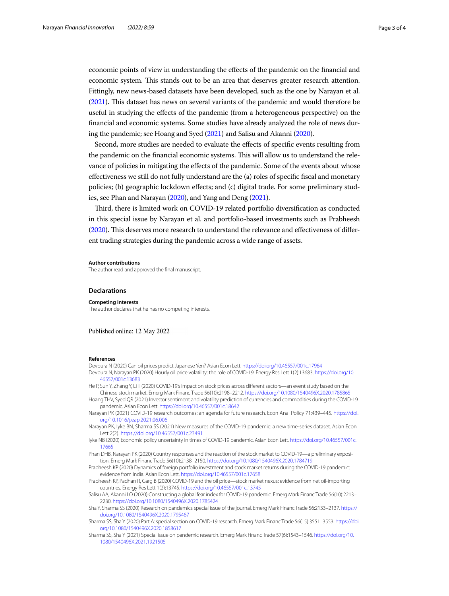economic points of view in understanding the efects of the pandemic on the fnancial and economic system. Tis stands out to be an area that deserves greater research attention. Fittingly, new news-based datasets have been developed, such as the one by Narayan et al. ([2021\)](#page-2-10). Tis dataset has news on several variants of the pandemic and would therefore be useful in studying the efects of the pandemic (from a heterogeneous perspective) on the fnancial and economic systems. Some studies have already analyzed the role of news during the pandemic; see Hoang and Syed ([2021\)](#page-2-11) and Salisu and Akanni ([2020\)](#page-2-12).

Second, more studies are needed to evaluate the efects of specifc events resulting from the pandemic on the financial economic systems. This will allow us to understand the relevance of policies in mitigating the efects of the pandemic. Some of the events about whose efectiveness we still do not fully understand are the (a) roles of specifc fscal and monetary policies; (b) geographic lockdown efects; and (c) digital trade. For some preliminary studies, see Phan and Narayan [\(2020\)](#page-2-5), and Yang and Deng [\(2021](#page-3-0)).

Tird, there is limited work on COVID-19 related portfolio diversifcation as conducted in this special issue by Narayan et al. and portfolio-based investments such as Prabheesh ([2020\)](#page-2-13). This deserves more research to understand the relevance and effectiveness of different trading strategies during the pandemic across a wide range of assets.

#### **Author contributions**

The author read and approved the fnal manuscript.

#### **Declarations**

#### **Competing interests**

The author declares that he has no competing interests.

Published online: 12 May 2022

#### **References**

<span id="page-2-8"></span><span id="page-2-7"></span>Devpura N (2020) Can oil prices predict Japanese Yen? Asian Econ Lett. <https://doi.org/10.46557/001c.17964> Devpura N, Narayan PK (2020) Hourly oil price volatility: the role of COVID-19. Energy Res Lett 1(2):13683. [https://doi.org/10.](https://doi.org/10.46557/001c.13683) [46557/001c.13683](https://doi.org/10.46557/001c.13683)

<span id="page-2-3"></span>He P, Sun Y, Zhang Y, Li T (2020) COVID-19's impact on stock prices across diferent sectors—an event study based on the Chinese stock market. Emerg Mark Financ Trade 56(10):2198–2212.<https://doi.org/10.1080/1540496X.2020.1785865>

<span id="page-2-11"></span>Hoang THV, Syed QR (2021) Investor sentiment and volatility prediction of currencies and commodities during the COVID-19 pandemic. Asian Econ Lett. <https://doi.org/10.46557/001c.18642>

<span id="page-2-6"></span>Narayan PK (2021) COVID-19 research outcomes: an agenda for future research. Econ Anal Policy 71:439–445. [https://doi.](https://doi.org/10.1016/j.eap.2021.06.006) [org/10.1016/j.eap.2021.06.006](https://doi.org/10.1016/j.eap.2021.06.006)

<span id="page-2-10"></span>Narayan PK, Iyke BN, Sharma SS (2021) New measures of the COVID-19 pandemic: a new time-series dataset. Asian Econ Lett 2(2).<https://doi.org/10.46557/001c.23491>

<span id="page-2-4"></span>Iyke NB (2020) Economic policy uncertainty in times of COVID-19 pandemic. Asian Econ Lett. [https://doi.org/10.46557/001c.](https://doi.org/10.46557/001c.17665) [17665](https://doi.org/10.46557/001c.17665)

<span id="page-2-5"></span>Phan DHB, Narayan PK (2020) Country responses and the reaction of the stock market to COVID-19—a preliminary exposition. Emerg Mark Financ Trade 56(10):2138–2150.<https://doi.org/10.1080/1540496X.2020.1784719>

<span id="page-2-13"></span>Prabheesh KP (2020) Dynamics of foreign portfolio investment and stock market returns during the COVID-19 pandemic: evidence from India. Asian Econ Lett.<https://doi.org/10.46557/001c.17658>

<span id="page-2-9"></span>Prabheesh KP, Padhan R, Garg B (2020) COVID-19 and the oil price—stock market nexus: evidence from net oil-importing countries. Energy Res Lett 1(2):13745. <https://doi.org/10.46557/001c.13745>

<span id="page-2-12"></span>Salisu AA, Akanni LO (2020) Constructing a global fear index for COVID-19 pandemic. Emerg Mark Financ Trade 56(10):2213– 2230. <https://doi.org/10.1080/1540496X.2020.1785424>

<span id="page-2-0"></span>Sha Y, Sharma SS (2020) Research on pandemics special issue of the journal. Emerg Mark Financ Trade 56:2133–2137. [https://](https://doi.org/10.1080/1540496X.2020.1795467) [doi.org/10.1080/1540496X.2020.1795467](https://doi.org/10.1080/1540496X.2020.1795467)

<span id="page-2-1"></span>Sharma SS, Sha Y (2020) Part A: special section on COVID-19 research. Emerg Mark Financ Trade 56(15):3551–3553. [https://doi.](https://doi.org/10.1080/1540496X.2020.1858617) [org/10.1080/1540496X.2020.1858617](https://doi.org/10.1080/1540496X.2020.1858617)

<span id="page-2-2"></span>Sharma SS, Sha Y (2021) Special issue on pandemic research. Emerg Mark Financ Trade 57(6):1543–1546. [https://doi.org/10.](https://doi.org/10.1080/1540496X.2021.1921505) [1080/1540496X.2021.1921505](https://doi.org/10.1080/1540496X.2021.1921505)